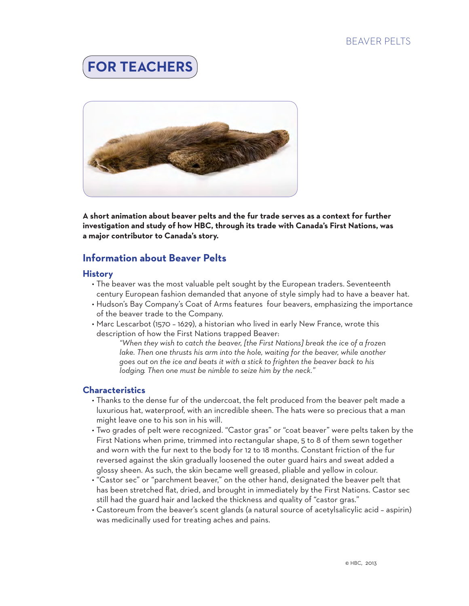### BEAVER PELTS





**A short animation about beaver pelts and the fur trade serves as a context for further investigation and study of how HBC, through its trade with Canada's First Nations, was a major contributor to Canada's story.**

## **Information about Beaver Pelts**

#### **History**

- The beaver was the most valuable pelt sought by the European traders. Seventeenth century European fashion demanded that anyone of style simply had to have a beaver hat.
- Hudson's Bay Company's Coat of Arms features four beavers, emphasizing the importance of the beaver trade to the Company.
- Marc Lescarbot (1570 1629), a historian who lived in early New France, wrote this description of how the First Nations trapped Beaver:

*"When they wish to catch the beaver, [the First Nations] break the ice of a frozen lake. Then one thrusts his arm into the hole, waiting for the beaver, while another goes out on the ice and beats it with a stick to frighten the beaver back to his lodging. Then one must be nimble to seize him by the neck."*

#### **Characteristics**

- Thanks to the dense fur of the undercoat, the felt produced from the beaver pelt made a luxurious hat, waterproof, with an incredible sheen. The hats were so precious that a man might leave one to his son in his will.
- Two grades of pelt were recognized. "Castor gras" or "coat beaver" were pelts taken by the First Nations when prime, trimmed into rectangular shape, 5 to 8 of them sewn together and worn with the fur next to the body for 12 to 18 months. Constant friction of the fur reversed against the skin gradually loosened the outer guard hairs and sweat added a glossy sheen. As such, the skin became well greased, pliable and yellow in colour.
- "Castor sec" or "parchment beaver," on the other hand, designated the beaver pelt that has been stretched flat, dried, and brought in immediately by the First Nations. Castor sec still had the guard hair and lacked the thickness and quality of "castor gras."
- Castoreum from the beaver's scent glands (a natural source of acetylsalicylic acid aspirin) was medicinally used for treating aches and pains.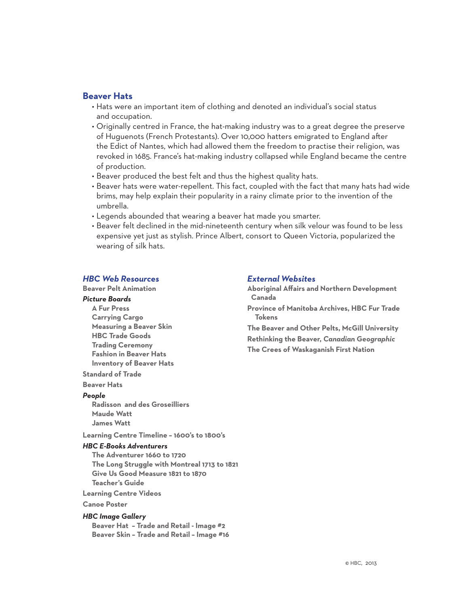#### **Beaver Hats**

- Hats were an important item of clothing and denoted an individual's social status and occupation.
- Originally centred in France, the hat-making industry was to a great degree the preserve of Huguenots (French Protestants). Over 10,000 hatters emigrated to England after the Edict of Nantes, which had allowed them the freedom to practise their religion, was revoked in 1685. France's hat-making industry collapsed while England became the centre of production.
- Beaver produced the best felt and thus the highest quality hats.
- Beaver hats were water-repellent. This fact, coupled with the fact that many hats had wide brims, may help explain their popularity in a rainy climate prior to the invention of the umbrella.
- Legends abounded that wearing a beaver hat made you smarter.
- Beaver felt declined in the mid-nineteenth century when silk velour was found to be less expensive yet just as stylish. Prince Albert, consort to Queen Victoria, popularized the wearing of silk hats.

#### *HBC Web Resources*

#### **[Beaver Pelt Animation](http://www.hbcheritage.ca/hbcheritage/learning/hbc-hamper#beaverPeltContent)**

#### *[Picture Boards](http://hbcheritage.ca/hbcheritage/learning/picture-boards)*

**[A Fur Press](http://www.hbcheritage.ca/content/281/a-fur-press) [Carrying Cargo](http://hbcheritage.ca/content/281/carrying-cargo) [Measuring a Beaver Skin](http://hbcheritage.ca/content/281/measuring-a-beaver-skin) [HBC Trade Goods](http://hbcheritage.ca/content/281/trade-goods) [Trading Ceremony](http://hbcheritage.ca/content/281/trading-ceremony) [Fashion in Beaver Hats](http://hbcheritage.ca/content/281/fashion-in-beaver-hats) [Inventory of Beaver Hats](http://hbcheritage.ca/content/281/inventory-of-beaver-hats)**

#### **[Standard of Trade](http://www.hbcheritage.ca/hbcheritage/history/business/fur/standardtrade.asp)**

**[Beaver Hats](http://www.hbcheritage.ca/hbcheritage/history/social/FashionPopularCulture/beaverhats)** 

#### *People*

**[Radisson and des Groseilliers](http://www.hbcheritage.ca/hbcheritage/history/people/explorers/radisson.asp) [Maude Watt](http://www.hbcheritage.ca/hbcheritage/history/people/women/maudwatt.asp) [James Watt](http://www.hbcheritage.ca/hbcheritage/history/people/associates/jameswatt.asp)** 

**[Learning Centre Timeline – 1600's to 1800's](http://www.hbcheritage.ca/content/timeline)**

#### *HBC E-Books Adventurers*

- **[The Adventurer 1660 to 1720](http://www.hbcheritage.ca/hbcheritage/learning/ebooks/Adventurers/Adventurers-Ch1.pdf) [The Long Struggle with Montreal 1713 to 1821](http://www.hbcheritage.ca/hbcheritage/learning/ebooks/Adventurers/Adventurers-Ch2.pdf) [Give Us Good Measure 1821 to 1870](http://www.hbcheritage.ca/hbcheritage/learning/ebooks/Adventurers/Adventurers-Ch3.pdf) [Teacher's Guide](http://www.hbcheritage.ca/hbcheritage/learning/ebooks/home)**
- **[Learning Centre Videos](http://www.hbcheritage.ca/hbcheritage/learning/videos/home)**

#### **[Canoe Poster](http://www.hbcheritage.ca/content/canoe)**

#### *HBC Image Gallery*

**[Beaver Hat – Trade and Retail - Image #2](http://www.hbcheritage.ca/gallery/big/9_1be1944e.jpg) [Beaver Skin – Trade and Retail – Image #16](http://www.hbcheritage.ca/gallery/big/9_da6afa65.jpg)**

#### *External Websites*

**[Aboriginal Affairs and Northern Development](http://www.aadnc-aandc.gc.ca/)  [Canada](http://www.aadnc-aandc.gc.ca/)**

**[Province of Manitoba Archives, HBC Fur Trade](http://www.gov.mb.ca/chc/archives/hbca/info_sheets/hbc_fur_trade_tokens.pdf)  [Tokens](http://www.gov.mb.ca/chc/archives/hbca/info_sheets/hbc_fur_trade_tokens.pdf)**

**[The Beaver and Other Pelts, McGill University](http://digital.library.mcgill.ca/nwc/history/01.htm) [Rethinking the Beaver,](http://www.canadiangeographic.ca/magazine/dec12/beaver.asp)** *Canadian Geographic* **[The Crees of Waskaganish First Nation](http://www.waskaganish.ca/the-fur-trade)**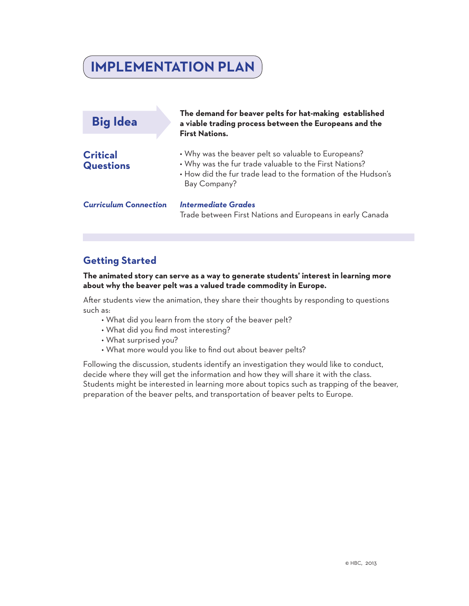# **IMPLEMENTATION PLAN**

| <b>Big Idea</b>                     | The demand for beaver pelts for hat-making established<br>a viable trading process between the Europeans and the<br><b>First Nations.</b>                                                      |
|-------------------------------------|------------------------------------------------------------------------------------------------------------------------------------------------------------------------------------------------|
| <b>Critical</b><br><b>Questions</b> | • Why was the beaver pelt so valuable to Europeans?<br>• Why was the fur trade valuable to the First Nations?<br>. How did the fur trade lead to the formation of the Hudson's<br>Bay Company? |
| <b>Curriculum Connection</b>        | <b>Intermediate Grades</b><br>Trade between First Nations and Europeans in early Canada                                                                                                        |

## **Getting Started**

**The animated story can serve as a way to generate students' interest in learning more about why the beaver pelt was a valued trade commodity in Europe.** 

After students view the animation, they share their thoughts by responding to questions such as:

- What did you learn from the story of the beaver pelt?
- What did you find most interesting?
- What surprised you?
- What more would you like to find out about beaver pelts?

Following the discussion, students identify an investigation they would like to conduct, decide where they will get the information and how they will share it with the class. Students might be interested in learning more about topics such as trapping of the beaver, preparation of the beaver pelts, and transportation of beaver pelts to Europe.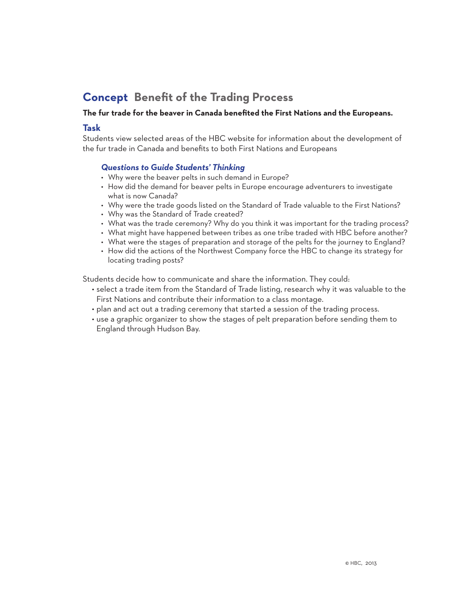## **Concept Benefit of the Trading Process**

#### **The fur trade for the beaver in Canada benefited the First Nations and the Europeans.**

#### **Task**

Students view selected areas of the HBC website for information about the development of the fur trade in Canada and benefits to both First Nations and Europeans

#### *Questions to Guide Students' Thinking*

- Why were the beaver pelts in such demand in Europe?
- How did the demand for beaver pelts in Europe encourage adventurers to investigate what is now Canada?
- Why were the trade goods listed on the Standard of Trade valuable to the First Nations?
- Why was the Standard of Trade created?
- What was the trade ceremony? Why do you think it was important for the trading process?
- What might have happened between tribes as one tribe traded with HBC before another?
- What were the stages of preparation and storage of the pelts for the journey to England?
- How did the actions of the Northwest Company force the HBC to change its strategy for locating trading posts?

Students decide how to communicate and share the information. They could:

- select a trade item from the Standard of Trade listing, research why it was valuable to the First Nations and contribute their information to a class montage.
- plan and act out a trading ceremony that started a session of the trading process.
- use a graphic organizer to show the stages of pelt preparation before sending them to England through Hudson Bay.